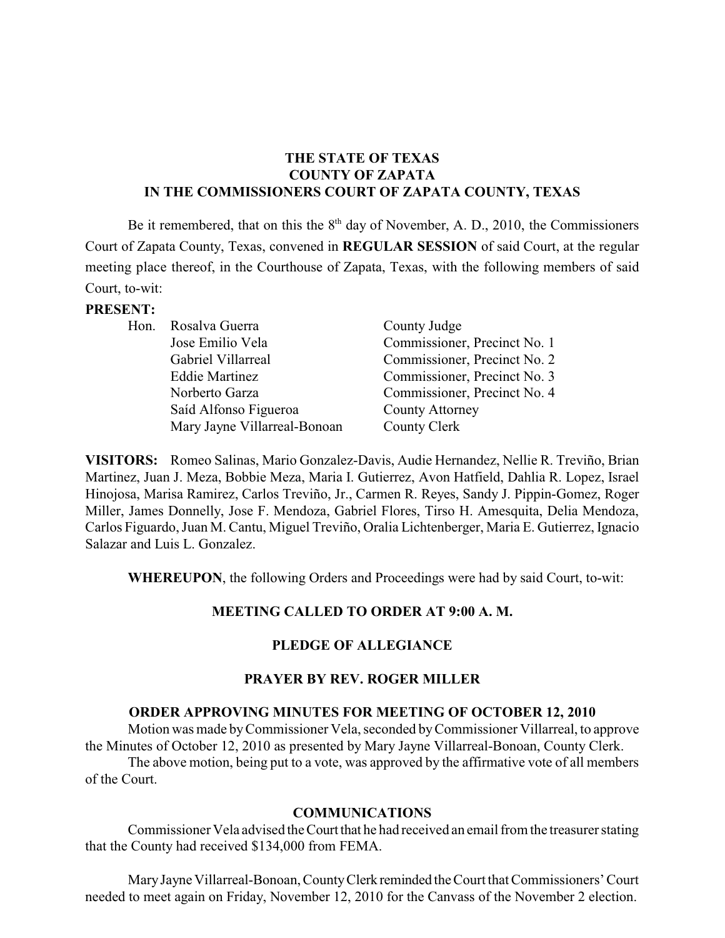## **THE STATE OF TEXAS COUNTY OF ZAPATA IN THE COMMISSIONERS COURT OF ZAPATA COUNTY, TEXAS**

Be it remembered, that on this the  $8<sup>th</sup>$  day of November, A. D., 2010, the Commissioners Court of Zapata County, Texas, convened in **REGULAR SESSION** of said Court, at the regular meeting place thereof, in the Courthouse of Zapata, Texas, with the following members of said Court, to-wit:

#### **PRESENT:**

| Hon. Rosalva Guerra          | County Judge                 |
|------------------------------|------------------------------|
| Jose Emilio Vela             | Commissioner, Precinct No. 1 |
| Gabriel Villarreal           | Commissioner, Precinct No. 2 |
| <b>Eddie Martinez</b>        | Commissioner, Precinct No. 3 |
| Norberto Garza               | Commissioner, Precinct No. 4 |
| Saíd Alfonso Figueroa        | <b>County Attorney</b>       |
| Mary Jayne Villarreal-Bonoan | County Clerk                 |
|                              |                              |

**VISITORS:** Romeo Salinas, Mario Gonzalez-Davis, Audie Hernandez, Nellie R. Treviño, Brian Martinez, Juan J. Meza, Bobbie Meza, Maria I. Gutierrez, Avon Hatfield, Dahlia R. Lopez, Israel Hinojosa, Marisa Ramirez, Carlos Treviño, Jr., Carmen R. Reyes, Sandy J. Pippin-Gomez, Roger Miller, James Donnelly, Jose F. Mendoza, Gabriel Flores, Tirso H. Amesquita, Delia Mendoza, Carlos Figuardo, Juan M. Cantu, Miguel Treviño, Oralia Lichtenberger, Maria E. Gutierrez, Ignacio Salazar and Luis L. Gonzalez.

**WHEREUPON**, the following Orders and Proceedings were had by said Court, to-wit:

## **MEETING CALLED TO ORDER AT 9:00 A. M.**

#### **PLEDGE OF ALLEGIANCE**

#### **PRAYER BY REV. ROGER MILLER**

#### **ORDER APPROVING MINUTES FOR MEETING OF OCTOBER 12, 2010**

Motion was made byCommissioner Vela, seconded byCommissioner Villarreal, to approve the Minutes of October 12, 2010 as presented by Mary Jayne Villarreal-Bonoan, County Clerk. The above motion, being put to a vote, was approved by the affirmative vote of all members of the Court.

#### **COMMUNICATIONS**

Commissioner Vela advised the Court that he had received an email from the treasurerstating that the County had received \$134,000 from FEMA.

MaryJayne Villarreal-Bonoan, CountyClerk reminded theCourt that Commissioners' Court needed to meet again on Friday, November 12, 2010 for the Canvass of the November 2 election.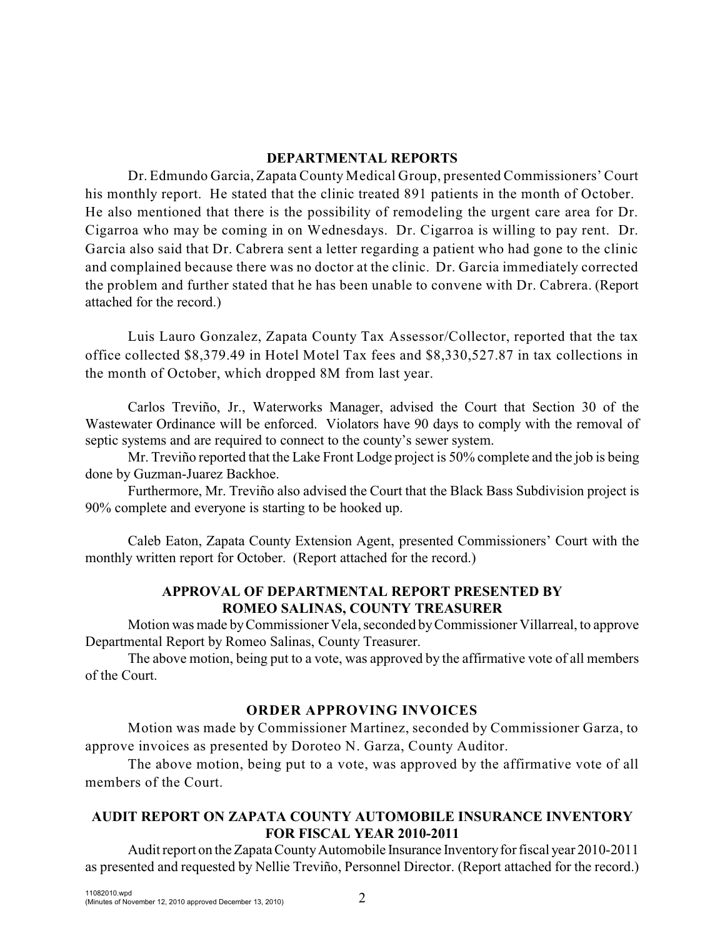## **DEPARTMENTAL REPORTS**

Dr. Edmundo Garcia, Zapata County Medical Group, presented Commissioners' Court his monthly report. He stated that the clinic treated 891 patients in the month of October. He also mentioned that there is the possibility of remodeling the urgent care area for Dr. Cigarroa who may be coming in on Wednesdays. Dr. Cigarroa is willing to pay rent. Dr. Garcia also said that Dr. Cabrera sent a letter regarding a patient who had gone to the clinic and complained because there was no doctor at the clinic. Dr. Garcia immediately corrected the problem and further stated that he has been unable to convene with Dr. Cabrera. (Report attached for the record.)

Luis Lauro Gonzalez, Zapata County Tax Assessor/Collector, reported that the tax office collected \$8,379.49 in Hotel Motel Tax fees and \$8,330,527.87 in tax collections in the month of October, which dropped 8M from last year.

Carlos Treviño, Jr., Waterworks Manager, advised the Court that Section 30 of the Wastewater Ordinance will be enforced. Violators have 90 days to comply with the removal of septic systems and are required to connect to the county's sewer system.

Mr. Treviño reported that the Lake Front Lodge project is 50% complete and the job is being done by Guzman-Juarez Backhoe.

Furthermore, Mr. Treviño also advised the Court that the Black Bass Subdivision project is 90% complete and everyone is starting to be hooked up.

Caleb Eaton, Zapata County Extension Agent, presented Commissioners' Court with the monthly written report for October. (Report attached for the record.)

## **APPROVAL OF DEPARTMENTAL REPORT PRESENTED BY ROMEO SALINAS, COUNTY TREASURER**

Motion was made byCommissioner Vela, seconded byCommissioner Villarreal, to approve Departmental Report by Romeo Salinas, County Treasurer.

The above motion, being put to a vote, was approved by the affirmative vote of all members of the Court.

# **ORDER APPROVING INVOICES**

Motion was made by Commissioner Martinez, seconded by Commissioner Garza, to approve invoices as presented by Doroteo N. Garza, County Auditor.

The above motion, being put to a vote, was approved by the affirmative vote of all members of the Court.

# **AUDIT REPORT ON ZAPATA COUNTY AUTOMOBILE INSURANCE INVENTORY FOR FISCAL YEAR 2010-2011**

Audit report on the Zapata County Automobile Insurance Inventory for fiscal year 2010-2011 as presented and requested by Nellie Treviño, Personnel Director. (Report attached for the record.)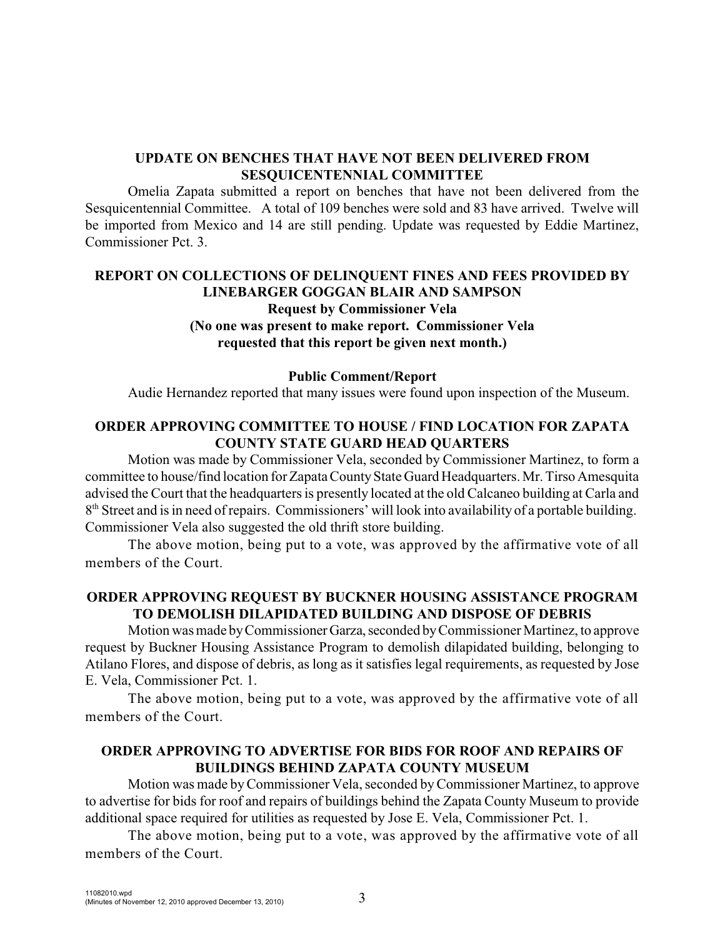### **UPDATE ON BENCHES THAT HAVE NOT BEEN DELIVERED FROM SESQUICENTENNIAL COMMITTEE**

Omelia Zapata submitted a report on benches that have not been delivered from the Sesquicentennial Committee. A total of 109 benches were sold and 83 have arrived. Twelve will be imported from Mexico and 14 are still pending. Update was requested by Eddie Martinez, Commissioner Pct. 3.

## **REPORT ON COLLECTIONS OF DELINQUENT FINES AND FEES PROVIDED BY LINEBARGER GOGGAN BLAIR AND SAMPSON Request by Commissioner Vela (No one was present to make report. Commissioner Vela requested that this report be given next month.)**

#### **Public Comment/Report**

Audie Hernandez reported that many issues were found upon inspection of the Museum.

### **ORDER APPROVING COMMITTEE TO HOUSE / FIND LOCATION FOR ZAPATA COUNTY STATE GUARD HEAD QUARTERS**

Motion was made by Commissioner Vela, seconded by Commissioner Martinez, to form a committee to house/find location for Zapata County State Guard Headquarters. Mr. Tirso Amesquita advised the Court that the headquarters is presently located at the old Calcaneo building at Carla and  $8<sup>th</sup>$  Street and is in need of repairs. Commissioners' will look into availability of a portable building. Commissioner Vela also suggested the old thrift store building.

The above motion, being put to a vote, was approved by the affirmative vote of all members of the Court.

#### **ORDER APPROVING REQUEST BY BUCKNER HOUSING ASSISTANCE PROGRAM TO DEMOLISH DILAPIDATED BUILDING AND DISPOSE OF DEBRIS**

Motion was made byCommissionerGarza,seconded byCommissioner Martinez, to approve request by Buckner Housing Assistance Program to demolish dilapidated building, belonging to Atilano Flores, and dispose of debris, as long as it satisfies legal requirements, as requested by Jose E. Vela, Commissioner Pct. 1.

The above motion, being put to a vote, was approved by the affirmative vote of all members of the Court.

#### **ORDER APPROVING TO ADVERTISE FOR BIDS FOR ROOF AND REPAIRS OF BUILDINGS BEHIND ZAPATA COUNTY MUSEUM**

Motion was made byCommissioner Vela, seconded byCommissioner Martinez, to approve to advertise for bids for roof and repairs of buildings behind the Zapata County Museum to provide additional space required for utilities as requested by Jose E. Vela, Commissioner Pct. 1.

The above motion, being put to a vote, was approved by the affirmative vote of all members of the Court.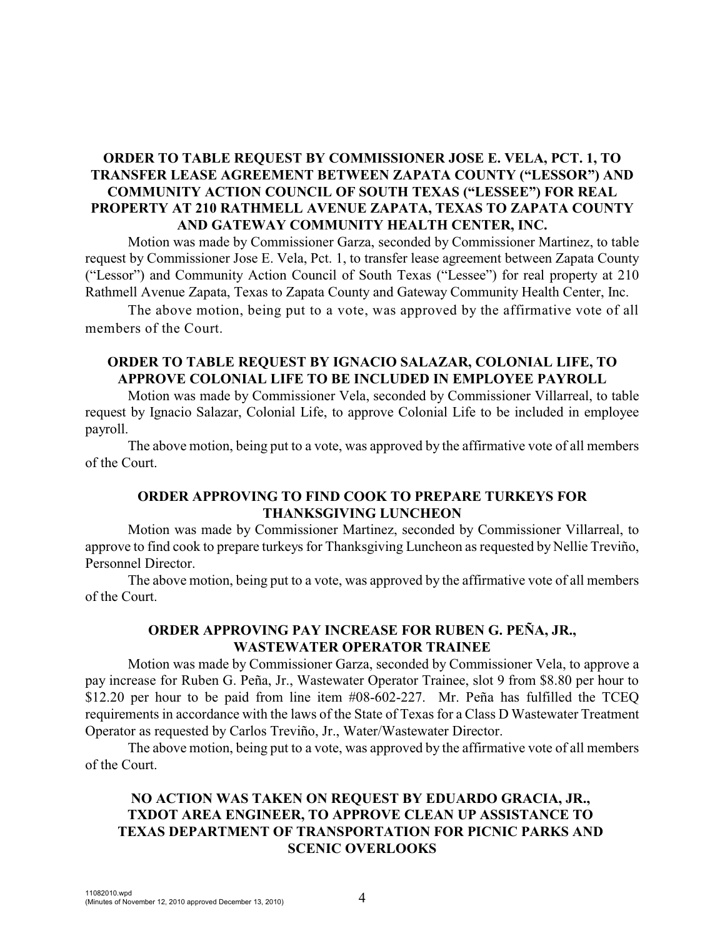## **ORDER TO TABLE REQUEST BY COMMISSIONER JOSE E. VELA, PCT. 1, TO TRANSFER LEASE AGREEMENT BETWEEN ZAPATA COUNTY ("LESSOR") AND COMMUNITY ACTION COUNCIL OF SOUTH TEXAS ("LESSEE") FOR REAL PROPERTY AT 210 RATHMELL AVENUE ZAPATA, TEXAS TO ZAPATA COUNTY AND GATEWAY COMMUNITY HEALTH CENTER, INC.**

Motion was made by Commissioner Garza, seconded by Commissioner Martinez, to table request by Commissioner Jose E. Vela, Pct. 1, to transfer lease agreement between Zapata County ("Lessor") and Community Action Council of South Texas ("Lessee") for real property at 210 Rathmell Avenue Zapata, Texas to Zapata County and Gateway Community Health Center, Inc.

The above motion, being put to a vote, was approved by the affirmative vote of all members of the Court.

### **ORDER TO TABLE REQUEST BY IGNACIO SALAZAR, COLONIAL LIFE, TO APPROVE COLONIAL LIFE TO BE INCLUDED IN EMPLOYEE PAYROLL**

Motion was made by Commissioner Vela, seconded by Commissioner Villarreal, to table request by Ignacio Salazar, Colonial Life, to approve Colonial Life to be included in employee payroll.

The above motion, being put to a vote, was approved by the affirmative vote of all members of the Court.

### **ORDER APPROVING TO FIND COOK TO PREPARE TURKEYS FOR THANKSGIVING LUNCHEON**

Motion was made by Commissioner Martinez, seconded by Commissioner Villarreal, to approve to find cook to prepare turkeys for Thanksgiving Luncheon as requested by Nellie Treviño, Personnel Director.

The above motion, being put to a vote, was approved by the affirmative vote of all members of the Court.

### **ORDER APPROVING PAY INCREASE FOR RUBEN G. PEÑA, JR., WASTEWATER OPERATOR TRAINEE**

Motion was made by Commissioner Garza, seconded by Commissioner Vela, to approve a pay increase for Ruben G. Peña, Jr., Wastewater Operator Trainee, slot 9 from \$8.80 per hour to \$12.20 per hour to be paid from line item #08-602-227. Mr. Peña has fulfilled the TCEQ requirements in accordance with the laws of the State of Texas for a Class D Wastewater Treatment Operator as requested by Carlos Treviño, Jr., Water/Wastewater Director.

The above motion, being put to a vote, was approved by the affirmative vote of all members of the Court.

# **NO ACTION WAS TAKEN ON REQUEST BY EDUARDO GRACIA, JR., TXDOT AREA ENGINEER, TO APPROVE CLEAN UP ASSISTANCE TO TEXAS DEPARTMENT OF TRANSPORTATION FOR PICNIC PARKS AND SCENIC OVERLOOKS**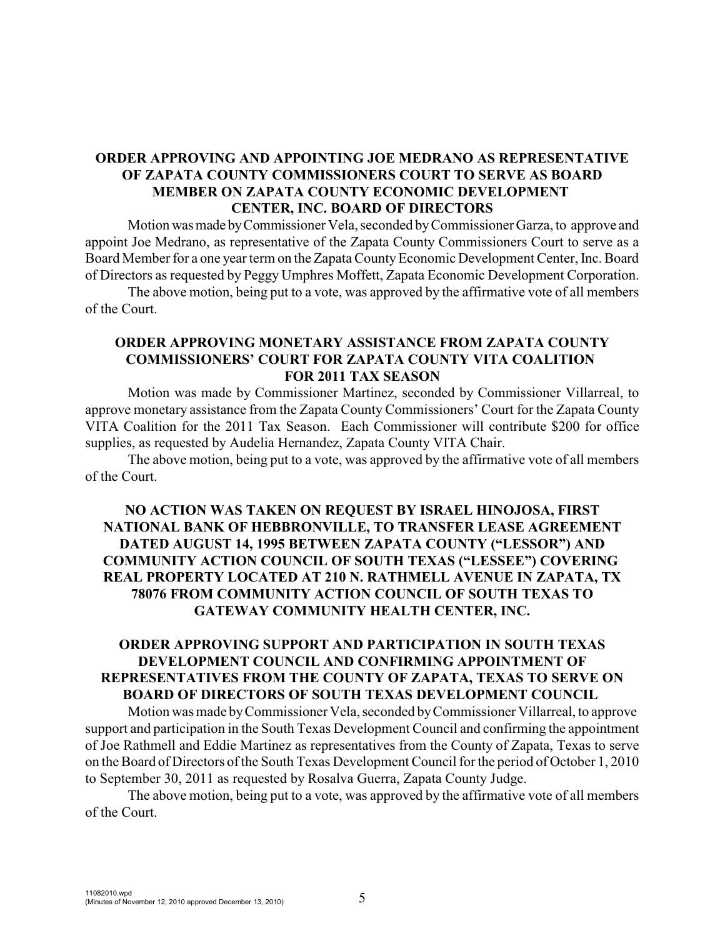## **ORDER APPROVING AND APPOINTING JOE MEDRANO AS REPRESENTATIVE OF ZAPATA COUNTY COMMISSIONERS COURT TO SERVE AS BOARD MEMBER ON ZAPATA COUNTY ECONOMIC DEVELOPMENT CENTER, INC. BOARD OF DIRECTORS**

Motion wasmade byCommissioner Vela, seconded byCommissioner Garza, to approve and appoint Joe Medrano, as representative of the Zapata County Commissioners Court to serve as a Board Member for a one year term on the Zapata County Economic Development Center, Inc. Board of Directors as requested by Peggy Umphres Moffett, Zapata Economic Development Corporation.

The above motion, being put to a vote, was approved by the affirmative vote of all members of the Court.

#### **ORDER APPROVING MONETARY ASSISTANCE FROM ZAPATA COUNTY COMMISSIONERS' COURT FOR ZAPATA COUNTY VITA COALITION FOR 2011 TAX SEASON**

Motion was made by Commissioner Martinez, seconded by Commissioner Villarreal, to approve monetary assistance from the Zapata County Commissioners' Court for the Zapata County VITA Coalition for the 2011 Tax Season. Each Commissioner will contribute \$200 for office supplies, as requested by Audelia Hernandez, Zapata County VITA Chair.

The above motion, being put to a vote, was approved by the affirmative vote of all members of the Court.

## **NO ACTION WAS TAKEN ON REQUEST BY ISRAEL HINOJOSA, FIRST NATIONAL BANK OF HEBBRONVILLE, TO TRANSFER LEASE AGREEMENT DATED AUGUST 14, 1995 BETWEEN ZAPATA COUNTY ("LESSOR") AND COMMUNITY ACTION COUNCIL OF SOUTH TEXAS ("LESSEE") COVERING REAL PROPERTY LOCATED AT 210 N. RATHMELL AVENUE IN ZAPATA, TX 78076 FROM COMMUNITY ACTION COUNCIL OF SOUTH TEXAS TO GATEWAY COMMUNITY HEALTH CENTER, INC.**

### **ORDER APPROVING SUPPORT AND PARTICIPATION IN SOUTH TEXAS DEVELOPMENT COUNCIL AND CONFIRMING APPOINTMENT OF REPRESENTATIVES FROM THE COUNTY OF ZAPATA, TEXAS TO SERVE ON BOARD OF DIRECTORS OF SOUTH TEXAS DEVELOPMENT COUNCIL**

Motion was made byCommissioner Vela, seconded byCommissioner Villarreal, to approve support and participation in the South Texas Development Council and confirming the appointment of Joe Rathmell and Eddie Martinez as representatives from the County of Zapata, Texas to serve on the Board of Directors of the South Texas Development Council for the period of October 1, 2010 to September 30, 2011 as requested by Rosalva Guerra, Zapata County Judge.

The above motion, being put to a vote, was approved by the affirmative vote of all members of the Court.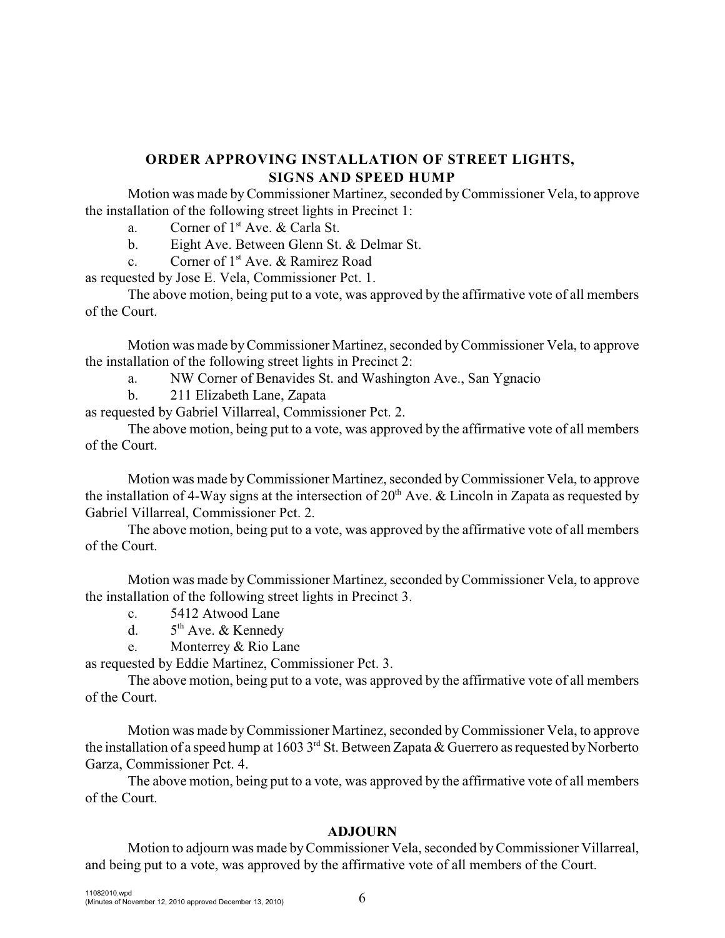# **ORDER APPROVING INSTALLATION OF STREET LIGHTS, SIGNS AND SPEED HUMP**

Motion was made byCommissioner Martinez, seconded byCommissioner Vela, to approve the installation of the following street lights in Precinct 1:

a. Corner of  $1<sup>st</sup>$  Ave. & Carla St.

b. Eight Ave. Between Glenn St. & Delmar St.

c. Corner of  $1<sup>st</sup>$  Ave. & Ramirez Road

as requested by Jose E. Vela, Commissioner Pct. 1.

The above motion, being put to a vote, was approved by the affirmative vote of all members of the Court.

Motion was made byCommissioner Martinez, seconded byCommissioner Vela, to approve the installation of the following street lights in Precinct 2:

a. NW Corner of Benavides St. and Washington Ave., San Ygnacio

b. 211 Elizabeth Lane, Zapata

as requested by Gabriel Villarreal, Commissioner Pct. 2.

The above motion, being put to a vote, was approved by the affirmative vote of all members of the Court.

Motion was made byCommissioner Martinez, seconded byCommissioner Vela, to approve the installation of 4-Way signs at the intersection of  $20<sup>th</sup>$  Ave. & Lincoln in Zapata as requested by Gabriel Villarreal, Commissioner Pct. 2.

The above motion, being put to a vote, was approved by the affirmative vote of all members of the Court.

Motion was made byCommissioner Martinez, seconded byCommissioner Vela, to approve the installation of the following street lights in Precinct 3.

c. 5412 Atwood Lane

d.  $5<sup>th</sup>$  Ave. & Kennedy

e. Monterrey & Rio Lane

as requested by Eddie Martinez, Commissioner Pct. 3.

The above motion, being put to a vote, was approved by the affirmative vote of all members of the Court.

Motion was made byCommissioner Martinez, seconded byCommissioner Vela, to approve the installation of a speed hump at 1603 3<sup>rd</sup> St. Between Zapata & Guerrero as requested by Norberto Garza, Commissioner Pct. 4.

The above motion, being put to a vote, was approved by the affirmative vote of all members of the Court.

## **ADJOURN**

Motion to adjourn was made byCommissioner Vela, seconded byCommissioner Villarreal, and being put to a vote, was approved by the affirmative vote of all members of the Court.